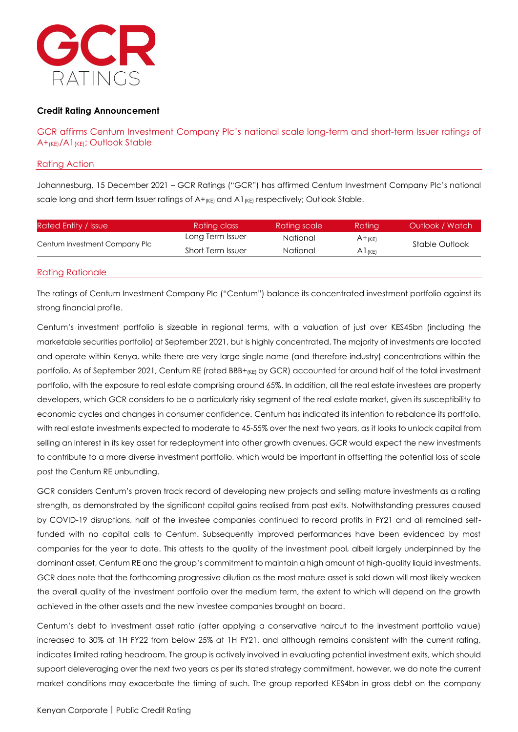

## **Credit Rating Announcement**

GCR affirms Centum Investment Company Plc's national scale long-term and short-term Issuer ratings of A+(KE)/A1(KE); Outlook Stable

#### Rating Action

Johannesburg, 15 December 2021 – GCR Ratings ("GCR") has affirmed Centum Investment Company Plc's national scale long and short term Issuer ratings of  $A+_{(KE)}$  and  $A1_{(KE)}$  respectively; Outlook Stable.

| Rated Entity / Issue          | Rating class      | Rating scale    | Ratina      | Outlook / Watch |
|-------------------------------|-------------------|-----------------|-------------|-----------------|
| Centum Investment Company Plc | Long Term Issuer  | National        | $A+_{(KE)}$ | Stable Outlook  |
|                               | Short Term Issuer | <b>National</b> | $A1_{(KE)}$ |                 |
|                               |                   |                 |             |                 |

## Rating Rationale

The ratings of Centum Investment Company Plc ("Centum") balance its concentrated investment portfolio against its strong financial profile.

Centum's investment portfolio is sizeable in regional terms, with a valuation of just over KES45bn (including the marketable securities portfolio) at September 2021, but is highly concentrated. The majority of investments are located and operate within Kenya, while there are very large single name (and therefore industry) concentrations within the portfolio. As of September 2021, Centum RE (rated BBB+(KE) by GCR) accounted for around half of the total investment portfolio, with the exposure to real estate comprising around 65%. In addition, all the real estate investees are property developers, which GCR considers to be a particularly risky segment of the real estate market, given its susceptibility to economic cycles and changes in consumer confidence. Centum has indicated its intention to rebalance its portfolio, with real estate investments expected to moderate to 45-55% over the next two years, as it looks to unlock capital from selling an interest in its key asset for redeployment into other growth avenues. GCR would expect the new investments to contribute to a more diverse investment portfolio, which would be important in offsetting the potential loss of scale post the Centum RE unbundling.

GCR considers Centum's proven track record of developing new projects and selling mature investments as a rating strength, as demonstrated by the significant capital gains realised from past exits. Notwithstanding pressures caused by COVID-19 disruptions, half of the investee companies continued to record profits in FY21 and all remained selffunded with no capital calls to Centum. Subsequently improved performances have been evidenced by most companies for the year to date. This attests to the quality of the investment pool, albeit largely underpinned by the dominant asset, Centum RE and the group's commitment to maintain a high amount of high-quality liquid investments. GCR does note that the forthcoming progressive dilution as the most mature asset is sold down will most likely weaken the overall quality of the investment portfolio over the medium term, the extent to which will depend on the growth achieved in the other assets and the new investee companies brought on board.

Centum's debt to investment asset ratio (after applying a conservative haircut to the investment portfolio value) increased to 30% at 1H FY22 from below 25% at 1H FY21, and although remains consistent with the current rating, indicates limited rating headroom. The group is actively involved in evaluating potential investment exits, which should support deleveraging over the next two years as per its stated strategy commitment, however, we do note the current market conditions may exacerbate the timing of such. The group reported KES4bn in gross debt on the company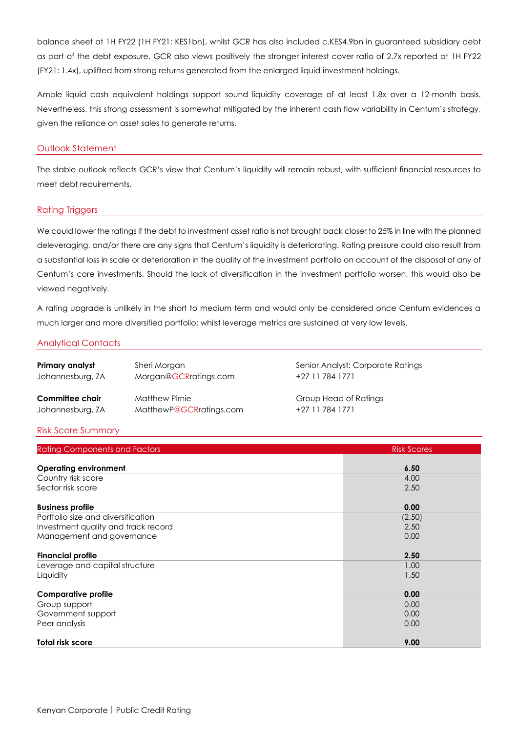balance sheet at 1H FY22 (1H FY21: KES1bn), whilst GCR has also included c.KES4.9bn in guaranteed subsidiary debt as part of the debt exposure. GCR also views positively the stronger interest cover ratio of 2.7x reported at 1H FY22 (FY21: 1.4x), uplifted from strong returns generated from the enlarged liquid investment holdings.

Ample liquid cash equivalent holdings support sound liquidity coverage of at least 1.8x over a 12-month basis. Nevertheless, this strong assessment is somewhat mitigated by the inherent cash flow variability in Centum's strategy, given the reliance on asset sales to generate returns.

## Outlook Statement

The stable outlook reflects GCR's view that Centum's liquidity will remain robust, with sufficient financial resources to meet debt requirements.

#### Rating Triggers

We could lower the ratings if the debt to investment asset ratio is not brought back closer to 25% in line with the planned deleveraging, and/or there are any signs that Centum's liquidity is deteriorating. Rating pressure could also result from a substantial loss in scale or deterioration in the quality of the investment portfolio on account of the disposal of any of Centum's core investments. Should the lack of diversification in the investment portfolio worsen, this would also be viewed negatively.

A rating upgrade is unlikely in the short to medium term and would only be considered once Centum evidences a much larger and more diversified portfolio; whilst leverage metrics are sustained at very low levels.

## Analytical Contacts

| Primary analyst  | Sheri Morgan            | Senior Analyst: Corporate Ratings |
|------------------|-------------------------|-----------------------------------|
| Johannesburg, ZA | Morgan@GCRratings.com   | +27 11 784 1771                   |
| Committee chair  | <b>Matthew Pirnie</b>   | Group Head of Ratings             |
| Johannesburg, ZA | MatthewP@GCRratings.com | +27 11 784 1771                   |

#### Risk Score Summary

| <b>Rating Components and Factors</b> | <b>Risk Scores</b> |
|--------------------------------------|--------------------|
| <b>Operating environment</b>         | 6.50               |
| Country risk score                   | 4.00               |
| Sector risk score                    | 2.50               |
| <b>Business profile</b>              | 0.00               |
| Portfolio size and diversification   | (2.50)             |
| Investment quality and track record  | 2.50               |
| Management and governance            | 0.00               |
| <b>Financial profile</b>             | 2.50               |
| Leverage and capital structure       | 1.00               |
| Liquidity                            | 1.50               |
| <b>Comparative profile</b>           | 0.00               |
| Group support                        | 0.00               |
| Government support                   | 0.00               |
| Peer analysis                        | 0.00               |
| <b>Total risk score</b>              | 9.00               |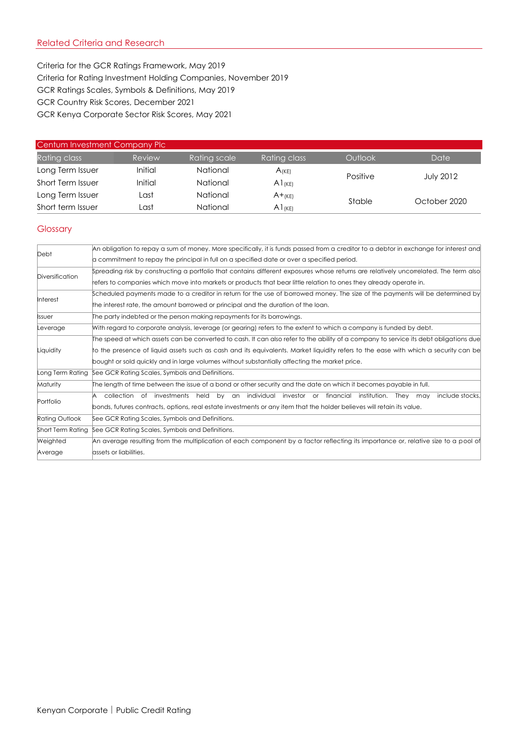Criteria for the GCR Ratings Framework, May 2019 Criteria for Rating Investment Holding Companies, November 2019 GCR Ratings Scales, Symbols & Definitions, May 2019 GCR Country Risk Scores, December 2021 GCR Kenya Corporate Sector Risk Scores, May 2021

| Centum Investment Company Plc |               |                 |              |          |                  |
|-------------------------------|---------------|-----------------|--------------|----------|------------------|
| Rating class                  | <b>Review</b> | Rating scale    | Rating class | Outlook  | Date             |
| Long Term Issuer              | Initial       | National        | $A$ (KE)     | Positive | <b>July 2012</b> |
| Short Term Issuer             | Initial       | National        | $A1_{(KE)}$  |          |                  |
| Long Term Issuer              | Last          | National        | $A+(KE)$     | Stable   | October 2020     |
| Short term Issuer             | Last          | <b>National</b> | $A1_{K}$     |          |                  |

## **Glossary**

| Debt                  | An obligation to repay a sum of money. More specifically, it is funds passed from a creditor to a debtor in exchange for interest and |
|-----------------------|---------------------------------------------------------------------------------------------------------------------------------------|
|                       | a commitment to repay the principal in full on a specified date or over a specified period.                                           |
| Diversification       | Spreading risk by constructing a portfolio that contains different exposures whose returns are relatively uncorrelated. The term also |
|                       | refers to companies which move into markets or products that bear little relation to ones they already operate in.                    |
| Interest              | Scheduled payments made to a creditor in return for the use of borrowed money. The size of the payments will be determined by         |
|                       | the interest rate, the amount borrowed or principal and the duration of the loan.                                                     |
| <b>Issuer</b>         | The party indebted or the person making repayments for its borrowings.                                                                |
| Leverage              | With regard to corporate analysis, leverage (or gearing) refers to the extent to which a company is funded by debt.                   |
|                       | The speed at which assets can be converted to cash. It can also refer to the ability of a company to service its debt obligations due |
| Liquidity             | to the presence of liquid assets such as cash and its equivalents. Market liquidity refers to the ease with which a security can be   |
|                       | bought or sold quickly and in large volumes without substantially affecting the market price.                                         |
| Long Term Rating      | See GCR Rating Scales, Symbols and Definitions.                                                                                       |
| Maturity              | The length of time between the issue of a bond or other security and the date on which it becomes payable in full.                    |
| Portfolio             | held by an individual investor or financial<br>include stocks.<br>A collection of investments<br>institution. They may                |
|                       | bonds, futures contracts, options, real estate investments or any item that the holder believes will retain its value.                |
| <b>Rating Outlook</b> | See GCR Rating Scales, Symbols and Definitions.                                                                                       |
| Short Term Rating     | See GCR Rating Scales, Symbols and Definitions.                                                                                       |
| Weighted              | An average resulting from the multiplication of each component by a factor reflecting its importance or, relative size to a pool of   |
| Average               | lassets or liabilities.                                                                                                               |
|                       |                                                                                                                                       |